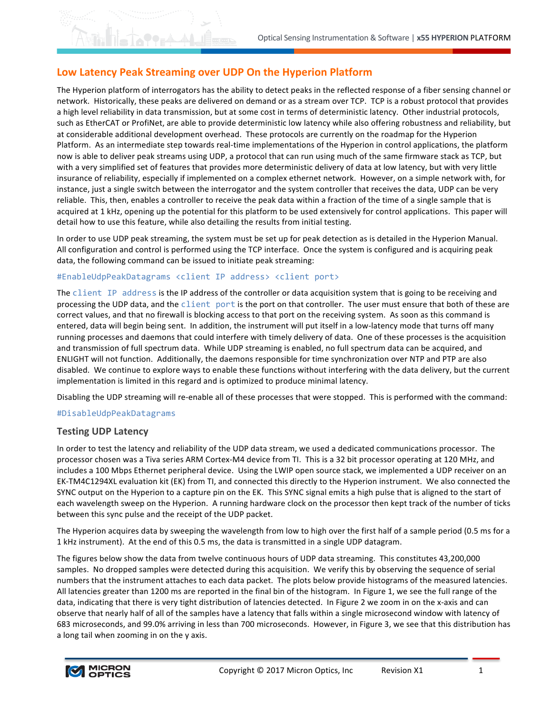## Low Latency Peak Streaming over UDP On the Hyperion Platform

 $O_2$  and  $\Lambda$ 

The Hyperion platform of interrogators has the ability to detect peaks in the reflected response of a fiber sensing channel or network. Historically, these peaks are delivered on demand or as a stream over TCP. TCP is a robust protocol that provides a high level reliability in data transmission, but at some cost in terms of deterministic latency. Other industrial protocols, such as EtherCAT or ProfiNet, are able to provide deterministic low latency while also offering robustness and reliability, but at considerable additional development overhead. These protocols are currently on the roadmap for the Hyperion Platform. As an intermediate step towards real-time implementations of the Hyperion in control applications, the platform now is able to deliver peak streams using UDP, a protocol that can run using much of the same firmware stack as TCP, but with a very simplified set of features that provides more deterministic delivery of data at low latency, but with very little insurance of reliability, especially if implemented on a complex ethernet network. However, on a simple network with, for instance, just a single switch between the interrogator and the system controller that receives the data, UDP can be very reliable. This, then, enables a controller to receive the peak data within a fraction of the time of a single sample that is acquired at 1 kHz, opening up the potential for this platform to be used extensively for control applications. This paper will detail how to use this feature, while also detailing the results from initial testing.

In order to use UDP peak streaming, the system must be set up for peak detection as is detailed in the Hyperion Manual. All configuration and control is performed using the TCP interface. Once the system is configured and is acquiring peak data, the following command can be issued to initiate peak streaming:

## #EnableUdpPeakDatagrams <client IP address> <client port>

The client IP address is the IP address of the controller or data acquisition system that is going to be receiving and processing the UDP data, and the client port is the port on that controller. The user must ensure that both of these are correct values, and that no firewall is blocking access to that port on the receiving system. As soon as this command is entered, data will begin being sent. In addition, the instrument will put itself in a low-latency mode that turns off many running processes and daemons that could interfere with timely delivery of data. One of these processes is the acquisition and transmission of full spectrum data. While UDP streaming is enabled, no full spectrum data can be acquired, and ENLIGHT will not function. Additionally, the daemons responsible for time synchronization over NTP and PTP are also disabled. We continue to explore ways to enable these functions without interfering with the data delivery, but the current implementation is limited in this regard and is optimized to produce minimal latency.

Disabling the UDP streaming will re-enable all of these processes that were stopped. This is performed with the command:

## #DisableUdpPeakDatagrams

## **Testing UDP Latency**

In order to test the latency and reliability of the UDP data stream, we used a dedicated communications processor. The processor chosen was a Tiva series ARM Cortex-M4 device from TI. This is a 32 bit processor operating at 120 MHz, and includes a 100 Mbps Ethernet peripheral device. Using the LWIP open source stack, we implemented a UDP receiver on an EK-TM4C1294XL evaluation kit (EK) from TI, and connected this directly to the Hyperion instrument. We also connected the SYNC output on the Hyperion to a capture pin on the EK. This SYNC signal emits a high pulse that is aligned to the start of each wavelength sweep on the Hyperion. A running hardware clock on the processor then kept track of the number of ticks between this sync pulse and the receipt of the UDP packet.

The Hyperion acquires data by sweeping the wavelength from low to high over the first half of a sample period (0.5 ms for a 1 kHz instrument). At the end of this 0.5 ms, the data is transmitted in a single UDP datagram.

The figures below show the data from twelve continuous hours of UDP data streaming. This constitutes 43,200,000 samples. No dropped samples were detected during this acquisition. We verify this by observing the sequence of serial numbers that the instrument attaches to each data packet. The plots below provide histograms of the measured latencies. All latencies greater than 1200 ms are reported in the final bin of the histogram. In Figure 1, we see the full range of the data, indicating that there is very tight distribution of latencies detected. In Figure 2 we zoom in on the x-axis and can observe that nearly half of all of the samples have a latency that falls within a single microsecond window with latency of 683 microseconds, and 99.0% arriving in less than 700 microseconds. However, in Figure 3, we see that this distribution has a long tail when zooming in on the y axis.

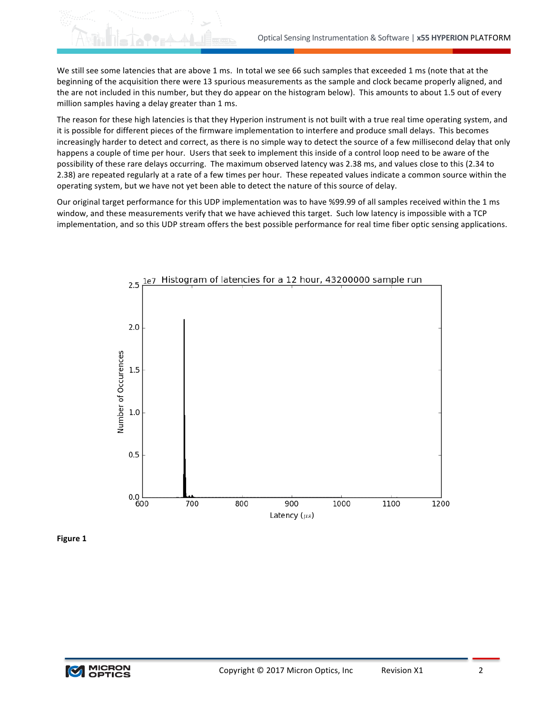We still see some latencies that are above 1 ms. In total we see 66 such samples that exceeded 1 ms (note that at the beginning of the acquisition there were 13 spurious measurements as the sample and clock became properly aligned, and the are not included in this number, but they do appear on the histogram below). This amounts to about 1.5 out of every million samples having a delay greater than 1 ms.

The reason for these high latencies is that they Hyperion instrument is not built with a true real time operating system, and it is possible for different pieces of the firmware implementation to interfere and produce small delays. This becomes increasingly harder to detect and correct, as there is no simple way to detect the source of a few millisecond delay that only happens a couple of time per hour. Users that seek to implement this inside of a control loop need to be aware of the possibility of these rare delays occurring. The maximum observed latency was 2.38 ms, and values close to this (2.34 to 2.38) are repeated regularly at a rate of a few times per hour. These repeated values indicate a common source within the operating system, but we have not yet been able to detect the nature of this source of delay.

Our original target performance for this UDP implementation was to have %99.99 of all samples received within the 1 ms window, and these measurements verify that we have achieved this target. Such low latency is impossible with a TCP implementation, and so this UDP stream offers the best possible performance for real time fiber optic sensing applications.



**Figure 1**